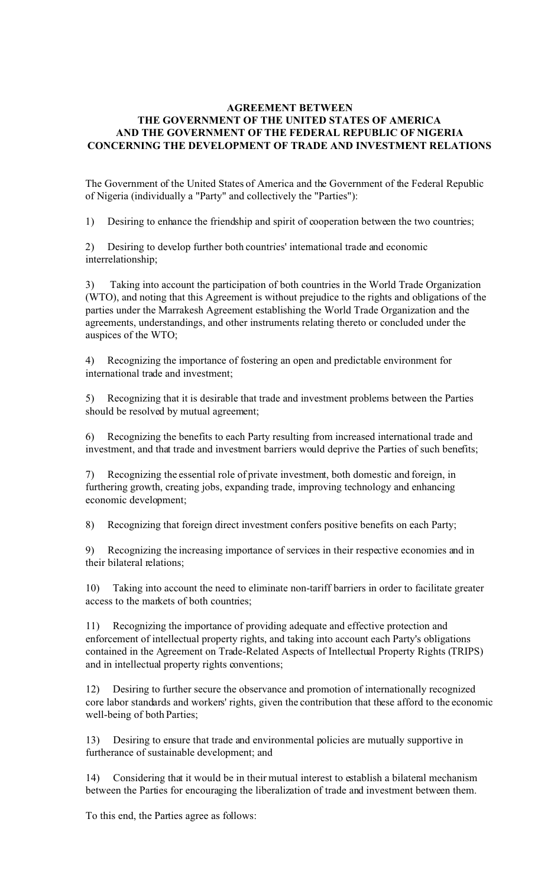# **AGREEMENT BETWEEN THE GOVERNMENT OF THE UNITED STATES OF AMERICA AND THE GOVERNMENT OF THE FEDERAL REPUBLIC OF NIGERIA CONCERNING THE DEVELOPMENT OF TRADE AND INVESTMENT RELATIONS**

The Government of the United States of America and the Government of the Federal Republic of Nigeria (individually a "Party" and collectively the "Parties"):

1) Desiring to enhance the friendship and spirit of cooperation between the two countries;

2) Desiring to develop further both countries' international trade and economic interrelationship;

3) Taking into account the participation of both countries in the World Trade Organization (WTO), and noting that this Agreement is without prejudice to the rights and obligations of the parties under the Marrakesh Agreement establishing the World Trade Organization and the agreements, understandings, and other instruments relating thereto or concluded under the auspices of the WTO;

4) Recognizing the importance of fostering an open and predictable environment for international trade and investment;

5) Recognizing that it is desirable that trade and investment problems between the Parties should be resolved by mutual agreement;

6) Recognizing the benefits to each Party resulting from increased international trade and investment, and that trade and investment barriers would deprive the Parties of such benefits;

7) Recognizing the essential role of private investment, both domestic and foreign, in furthering growth, creating jobs, expanding trade, improving technology and enhancing economic development;

8) Recognizing that foreign direct investment confers positive benefits on each Party;

9) Recognizing the increasing importance of services in their respective economies and in their bilateral relations;

10) Taking into account the need to eliminate non-tariff barriers in order to facilitate greater access to the markets of both countries;

11) Recognizing the importance of providing adequate and effective protection and enforcement of intellectual property rights, and taking into account each Party's obligations contained in the Agreement on Trade-Related Aspects of Intellectual Property Rights (TRIPS) and in intellectual property rights conventions;

12) Desiring to further secure the observance and promotion of internationally recognized core labor standards and workers' rights, given the contribution that these afford to the economic well-being of both Parties;

13) Desiring to ensure that trade and environmental policies are mutually supportive in furtherance of sustainable development; and

14) Considering that it would be in their mutual interest to establish a bilateral mechanism between the Parties for encouraging the liberalization of trade and investment between them.

To this end, the Parties agree as follows: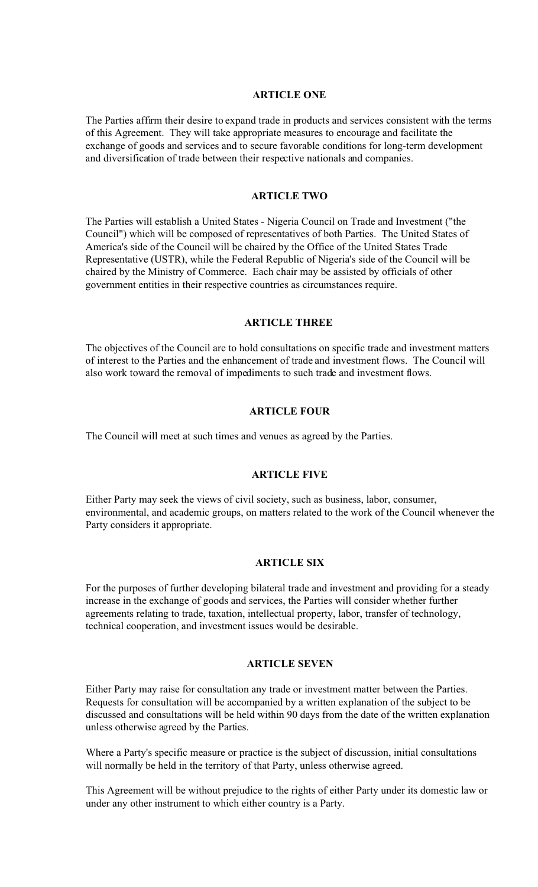#### **ARTICLE ONE**

The Parties affirm their desire to expand trade in products and services consistent with the terms of this Agreement. They will take appropriate measures to encourage and facilitate the exchange of goods and services and to secure favorable conditions for long-term development and diversification of trade between their respective nationals and companies.

#### **ARTICLE TWO**

The Parties will establish a United States - Nigeria Council on Trade and Investment ("the Council") which will be composed of representatives of both Parties. The United States of America's side of the Council will be chaired by the Office of the United States Trade Representative (USTR), while the Federal Republic of Nigeria's side of the Council will be chaired by the Ministry of Commerce. Each chair may be assisted by officials of other government entities in their respective countries as circumstances require.

#### **ARTICLE THREE**

The objectives of the Council are to hold consultations on specific trade and investment matters of interest to the Parties and the enhancement of trade and investment flows. The Council will also work toward the removal of impediments to such trade and investment flows.

## **ARTICLE FOUR**

The Council will meet at such times and venues as agreed by the Parties.

## **ARTICLE FIVE**

Either Party may seek the views of civil society, such as business, labor, consumer, environmental, and academic groups, on matters related to the work of the Council whenever the Party considers it appropriate.

#### **ARTICLE SIX**

For the purposes of further developing bilateral trade and investment and providing for a steady increase in the exchange of goods and services, the Parties will consider whether further agreements relating to trade, taxation, intellectual property, labor, transfer of technology, technical cooperation, and investment issues would be desirable.

# **ARTICLE SEVEN**

Either Party may raise for consultation any trade or investment matter between the Parties. Requests for consultation will be accompanied by a written explanation of the subject to be discussed and consultations will be held within 90 days from the date of the written explanation unless otherwise agreed by the Parties.

Where a Party's specific measure or practice is the subject of discussion, initial consultations will normally be held in the territory of that Party, unless otherwise agreed.

This Agreement will be without prejudice to the rights of either Party under its domestic law or under any other instrument to which either country is a Party.